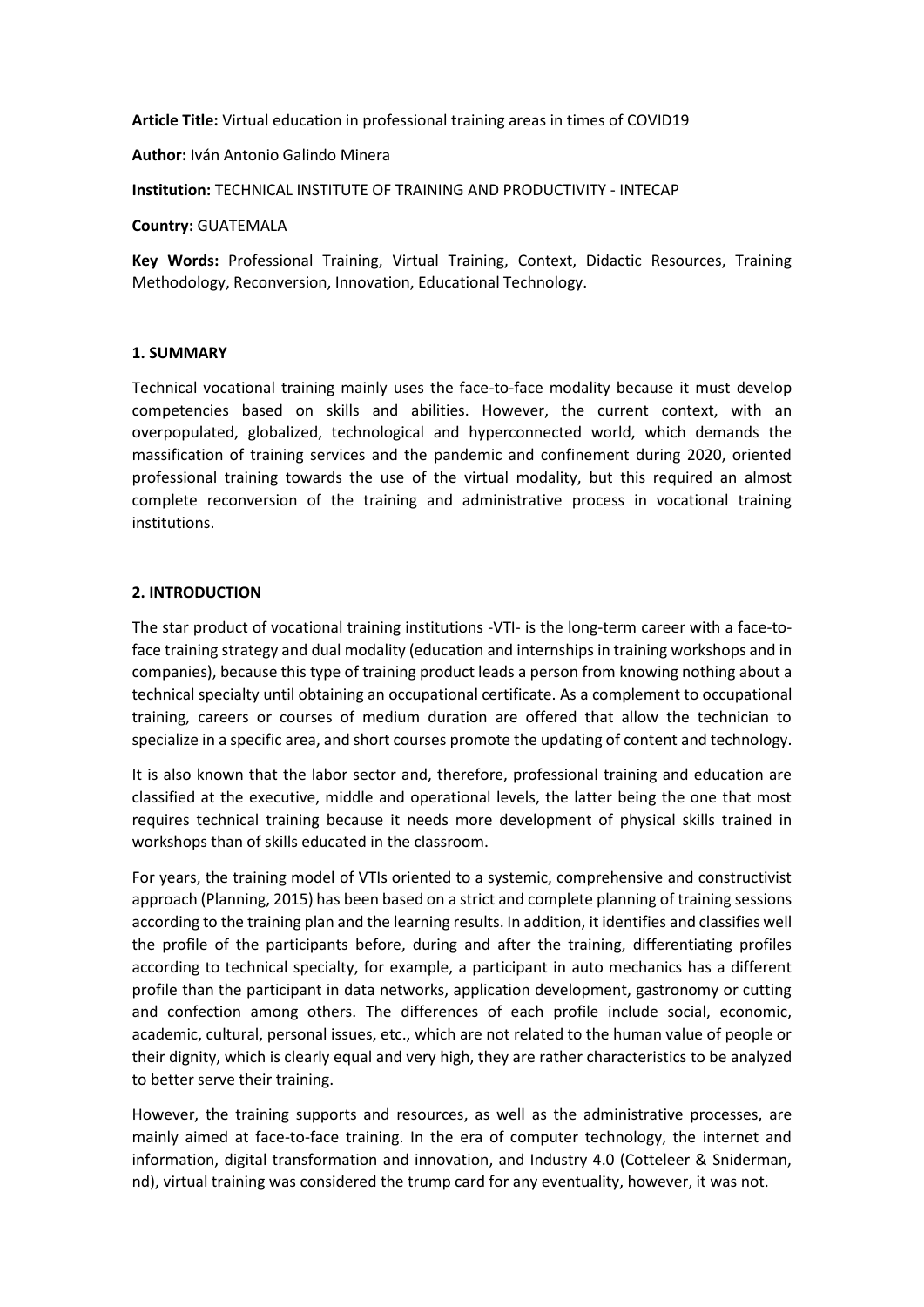**Article Title:** Virtual education in professional training areas in times of COVID19

**Author:** Iván Antonio Galindo Minera

**Institution:** TECHNICAL INSTITUTE OF TRAINING AND PRODUCTIVITY - INTECAP

**Country:** GUATEMALA

**Key Words:** Professional Training, Virtual Training, Context, Didactic Resources, Training Methodology, Reconversion, Innovation, Educational Technology.

#### **1. SUMMARY**

Technical vocational training mainly uses the face-to-face modality because it must develop competencies based on skills and abilities. However, the current context, with an overpopulated, globalized, technological and hyperconnected world, which demands the massification of training services and the pandemic and confinement during 2020, oriented professional training towards the use of the virtual modality, but this required an almost complete reconversion of the training and administrative process in vocational training institutions.

### **2. INTRODUCTION**

The star product of vocational training institutions -VTI- is the long-term career with a face-toface training strategy and dual modality (education and internships in training workshops and in companies), because this type of training product leads a person from knowing nothing about a technical specialty until obtaining an occupational certificate. As a complement to occupational training, careers or courses of medium duration are offered that allow the technician to specialize in a specific area, and short courses promote the updating of content and technology.

It is also known that the labor sector and, therefore, professional training and education are classified at the executive, middle and operational levels, the latter being the one that most requires technical training because it needs more development of physical skills trained in workshops than of skills educated in the classroom.

For years, the training model of VTIs oriented to a systemic, comprehensive and constructivist approach (Planning, 2015) has been based on a strict and complete planning of training sessions according to the training plan and the learning results. In addition, it identifies and classifies well the profile of the participants before, during and after the training, differentiating profiles according to technical specialty, for example, a participant in auto mechanics has a different profile than the participant in data networks, application development, gastronomy or cutting and confection among others. The differences of each profile include social, economic, academic, cultural, personal issues, etc., which are not related to the human value of people or their dignity, which is clearly equal and very high, they are rather characteristics to be analyzed to better serve their training.

However, the training supports and resources, as well as the administrative processes, are mainly aimed at face-to-face training. In the era of computer technology, the internet and information, digital transformation and innovation, and Industry 4.0 (Cotteleer & Sniderman, nd), virtual training was considered the trump card for any eventuality, however, it was not.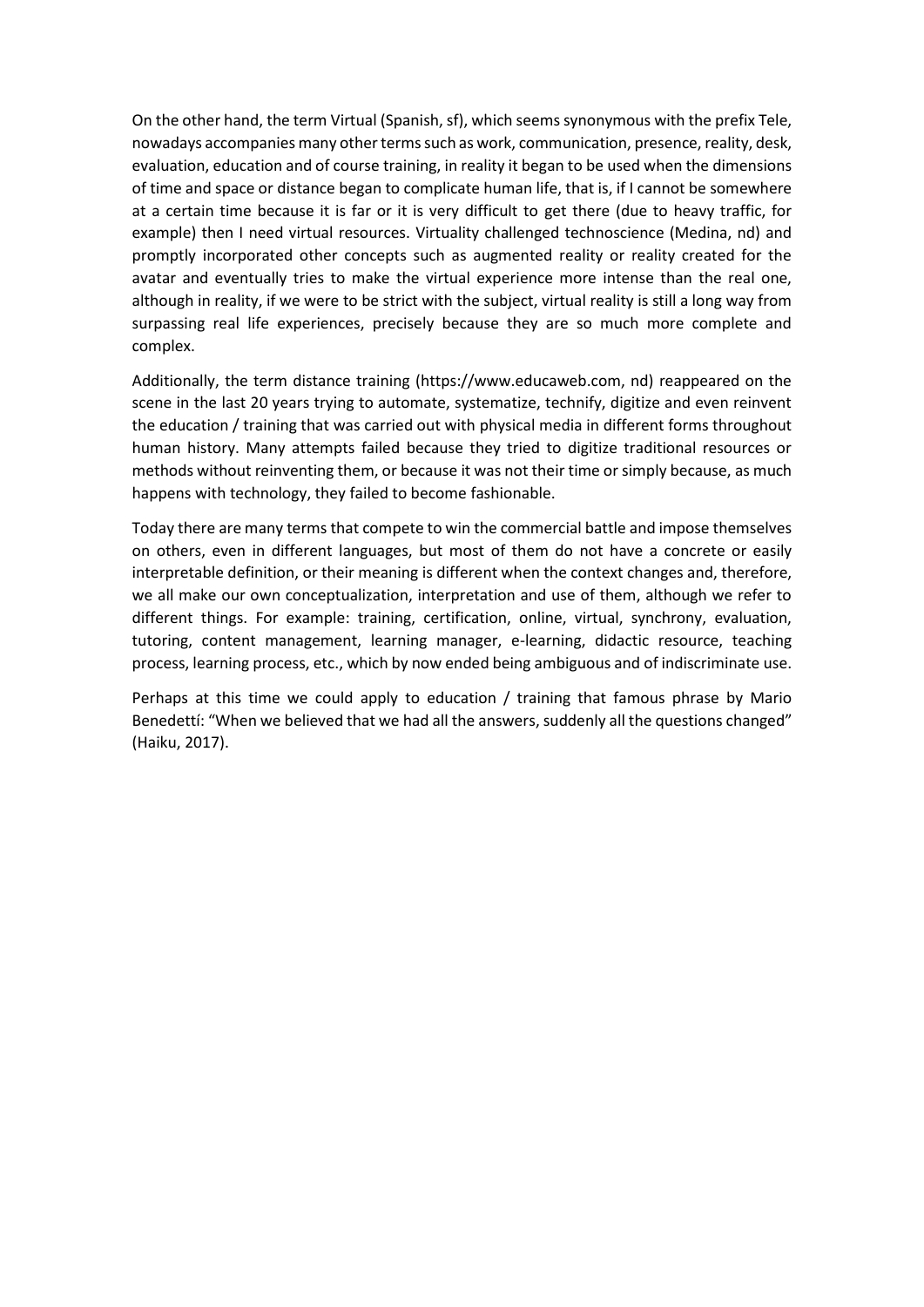On the other hand, the term Virtual (Spanish, sf), which seems synonymous with the prefix Tele, nowadays accompanies many other terms such as work, communication, presence, reality, desk, evaluation, education and of course training, in reality it began to be used when the dimensions of time and space or distance began to complicate human life, that is, if I cannot be somewhere at a certain time because it is far or it is very difficult to get there (due to heavy traffic, for example) then I need virtual resources. Virtuality challenged technoscience (Medina, nd) and promptly incorporated other concepts such as augmented reality or reality created for the avatar and eventually tries to make the virtual experience more intense than the real one, although in reality, if we were to be strict with the subject, virtual reality is still a long way from surpassing real life experiences, precisely because they are so much more complete and complex.

Additionally, the term distance training (https://www.educaweb.com, nd) reappeared on the scene in the last 20 years trying to automate, systematize, technify, digitize and even reinvent the education / training that was carried out with physical media in different forms throughout human history. Many attempts failed because they tried to digitize traditional resources or methods without reinventing them, or because it was not their time or simply because, as much happens with technology, they failed to become fashionable.

Today there are many terms that compete to win the commercial battle and impose themselves on others, even in different languages, but most of them do not have a concrete or easily interpretable definition, or their meaning is different when the context changes and, therefore, we all make our own conceptualization, interpretation and use of them, although we refer to different things. For example: training, certification, online, virtual, synchrony, evaluation, tutoring, content management, learning manager, e-learning, didactic resource, teaching process, learning process, etc., which by now ended being ambiguous and of indiscriminate use.

Perhaps at this time we could apply to education / training that famous phrase by Mario Benedettí: "When we believed that we had all the answers, suddenly all the questions changed" (Haiku, 2017).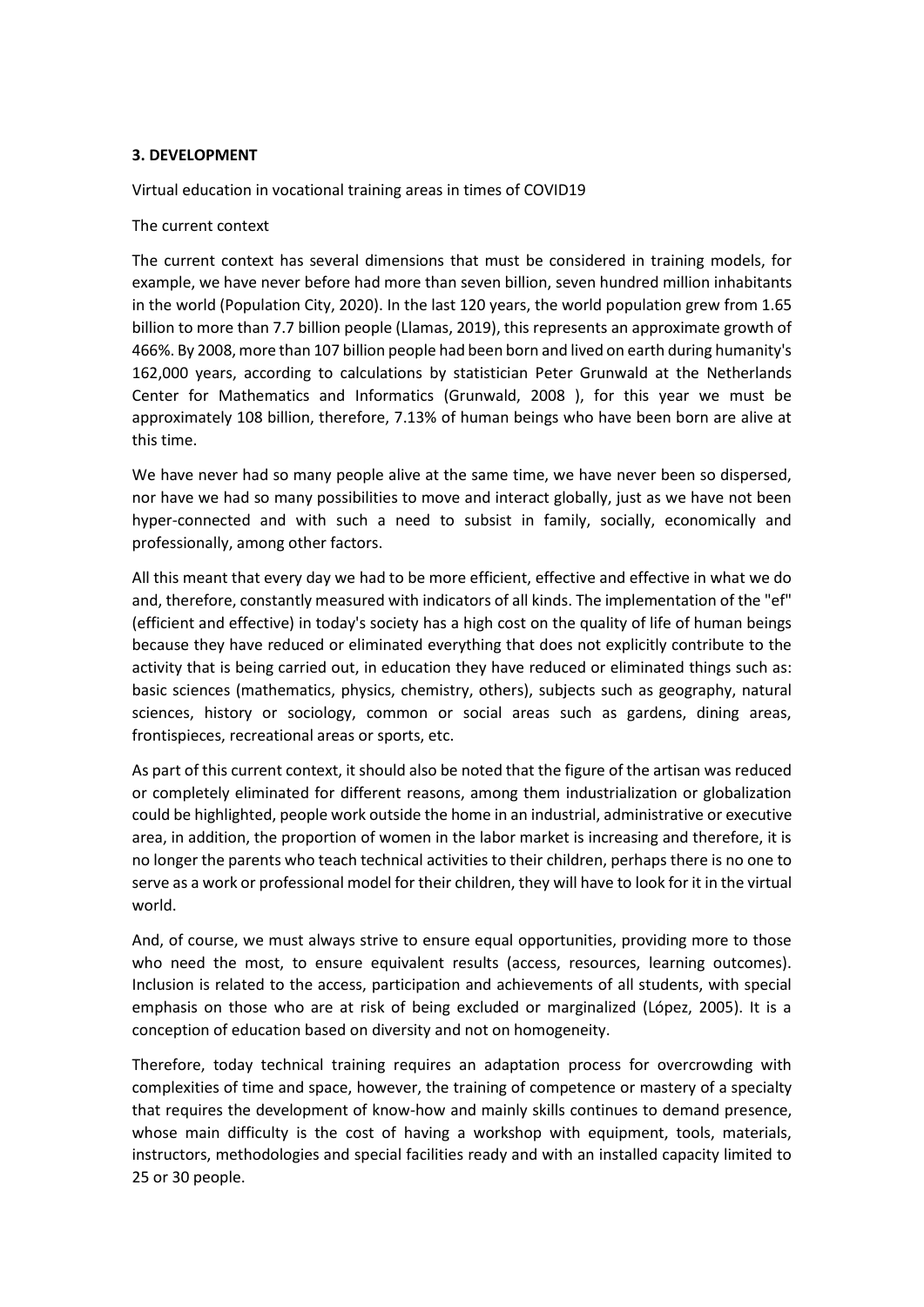# **3. DEVELOPMENT**

Virtual education in vocational training areas in times of COVID19

#### The current context

The current context has several dimensions that must be considered in training models, for example, we have never before had more than seven billion, seven hundred million inhabitants in the world (Population City, 2020). In the last 120 years, the world population grew from 1.65 billion to more than 7.7 billion people (Llamas, 2019), this represents an approximate growth of 466%. By 2008, more than 107 billion people had been born and lived on earth during humanity's 162,000 years, according to calculations by statistician Peter Grunwald at the Netherlands Center for Mathematics and Informatics (Grunwald, 2008 ), for this year we must be approximately 108 billion, therefore, 7.13% of human beings who have been born are alive at this time.

We have never had so many people alive at the same time, we have never been so dispersed, nor have we had so many possibilities to move and interact globally, just as we have not been hyper-connected and with such a need to subsist in family, socially, economically and professionally, among other factors.

All this meant that every day we had to be more efficient, effective and effective in what we do and, therefore, constantly measured with indicators of all kinds. The implementation of the "ef" (efficient and effective) in today's society has a high cost on the quality of life of human beings because they have reduced or eliminated everything that does not explicitly contribute to the activity that is being carried out, in education they have reduced or eliminated things such as: basic sciences (mathematics, physics, chemistry, others), subjects such as geography, natural sciences, history or sociology, common or social areas such as gardens, dining areas, frontispieces, recreational areas or sports, etc.

As part of this current context, it should also be noted that the figure of the artisan was reduced or completely eliminated for different reasons, among them industrialization or globalization could be highlighted, people work outside the home in an industrial, administrative or executive area, in addition, the proportion of women in the labor market is increasing and therefore, it is no longer the parents who teach technical activities to their children, perhaps there is no one to serve as a work or professional model for their children, they will have to look for it in the virtual world.

And, of course, we must always strive to ensure equal opportunities, providing more to those who need the most, to ensure equivalent results (access, resources, learning outcomes). Inclusion is related to the access, participation and achievements of all students, with special emphasis on those who are at risk of being excluded or marginalized (López, 2005). It is a conception of education based on diversity and not on homogeneity.

Therefore, today technical training requires an adaptation process for overcrowding with complexities of time and space, however, the training of competence or mastery of a specialty that requires the development of know-how and mainly skills continues to demand presence, whose main difficulty is the cost of having a workshop with equipment, tools, materials, instructors, methodologies and special facilities ready and with an installed capacity limited to 25 or 30 people.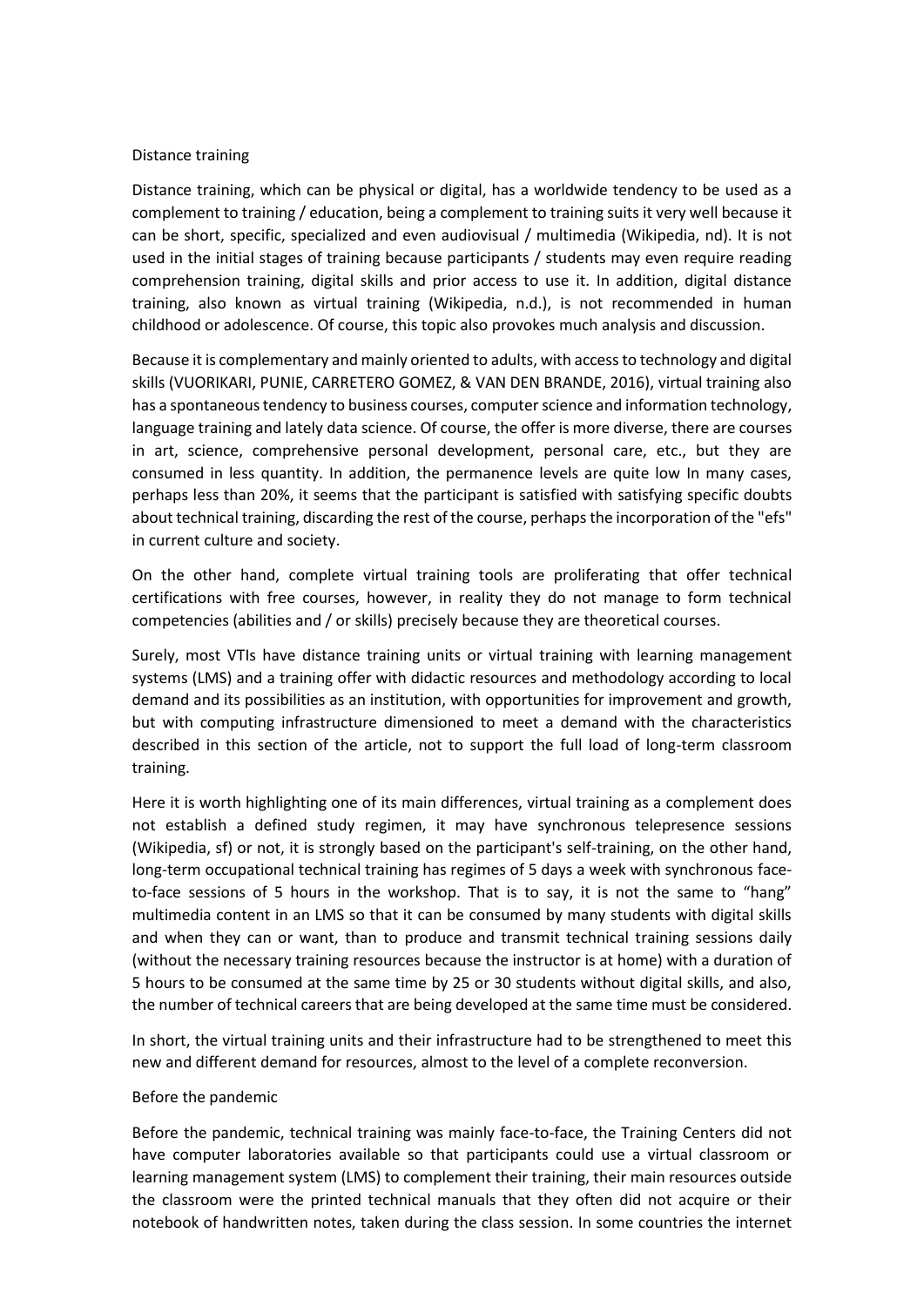#### Distance training

Distance training, which can be physical or digital, has a worldwide tendency to be used as a complement to training / education, being a complement to training suits it very well because it can be short, specific, specialized and even audiovisual / multimedia (Wikipedia, nd). It is not used in the initial stages of training because participants / students may even require reading comprehension training, digital skills and prior access to use it. In addition, digital distance training, also known as virtual training (Wikipedia, n.d.), is not recommended in human childhood or adolescence. Of course, this topic also provokes much analysis and discussion.

Because it is complementary and mainly oriented to adults, with access to technology and digital skills (VUORIKARI, PUNIE, CARRETERO GOMEZ, & VAN DEN BRANDE, 2016), virtual training also has a spontaneous tendency to business courses, computer science and information technology, language training and lately data science. Of course, the offer is more diverse, there are courses in art, science, comprehensive personal development, personal care, etc., but they are consumed in less quantity. In addition, the permanence levels are quite low In many cases, perhaps less than 20%, it seems that the participant is satisfied with satisfying specific doubts about technical training, discarding the rest of the course, perhaps the incorporation of the "efs" in current culture and society.

On the other hand, complete virtual training tools are proliferating that offer technical certifications with free courses, however, in reality they do not manage to form technical competencies (abilities and / or skills) precisely because they are theoretical courses.

Surely, most VTIs have distance training units or virtual training with learning management systems (LMS) and a training offer with didactic resources and methodology according to local demand and its possibilities as an institution, with opportunities for improvement and growth, but with computing infrastructure dimensioned to meet a demand with the characteristics described in this section of the article, not to support the full load of long-term classroom training.

Here it is worth highlighting one of its main differences, virtual training as a complement does not establish a defined study regimen, it may have synchronous telepresence sessions (Wikipedia, sf) or not, it is strongly based on the participant's self-training, on the other hand, long-term occupational technical training has regimes of 5 days a week with synchronous faceto-face sessions of 5 hours in the workshop. That is to say, it is not the same to "hang" multimedia content in an LMS so that it can be consumed by many students with digital skills and when they can or want, than to produce and transmit technical training sessions daily (without the necessary training resources because the instructor is at home) with a duration of 5 hours to be consumed at the same time by 25 or 30 students without digital skills, and also, the number of technical careers that are being developed at the same time must be considered.

In short, the virtual training units and their infrastructure had to be strengthened to meet this new and different demand for resources, almost to the level of a complete reconversion.

#### Before the pandemic

Before the pandemic, technical training was mainly face-to-face, the Training Centers did not have computer laboratories available so that participants could use a virtual classroom or learning management system (LMS) to complement their training, their main resources outside the classroom were the printed technical manuals that they often did not acquire or their notebook of handwritten notes, taken during the class session. In some countries the internet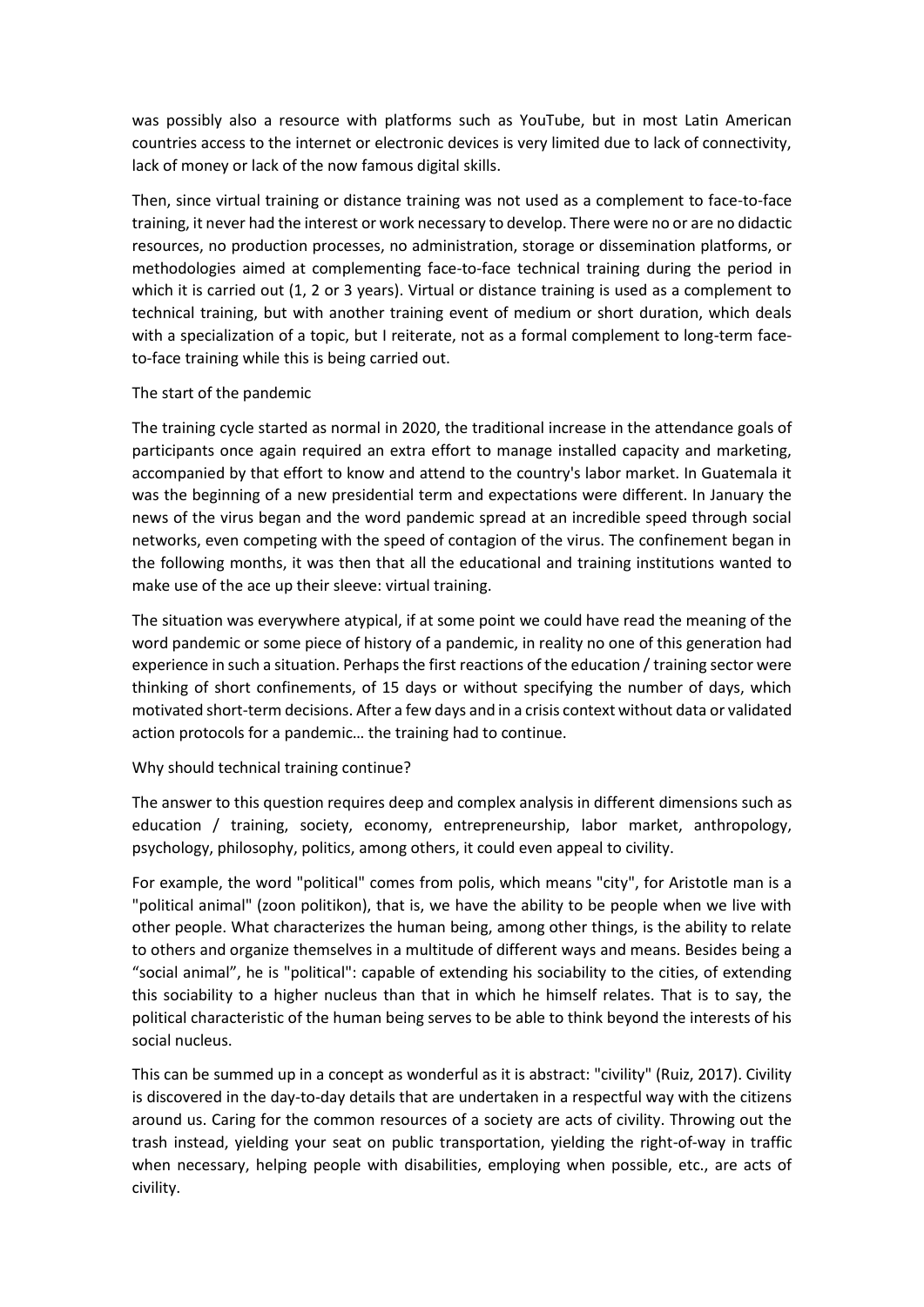was possibly also a resource with platforms such as YouTube, but in most Latin American countries access to the internet or electronic devices is very limited due to lack of connectivity, lack of money or lack of the now famous digital skills.

Then, since virtual training or distance training was not used as a complement to face-to-face training, it never had the interest or work necessary to develop. There were no or are no didactic resources, no production processes, no administration, storage or dissemination platforms, or methodologies aimed at complementing face-to-face technical training during the period in which it is carried out (1, 2 or 3 years). Virtual or distance training is used as a complement to technical training, but with another training event of medium or short duration, which deals with a specialization of a topic, but I reiterate, not as a formal complement to long-term faceto-face training while this is being carried out.

# The start of the pandemic

The training cycle started as normal in 2020, the traditional increase in the attendance goals of participants once again required an extra effort to manage installed capacity and marketing, accompanied by that effort to know and attend to the country's labor market. In Guatemala it was the beginning of a new presidential term and expectations were different. In January the news of the virus began and the word pandemic spread at an incredible speed through social networks, even competing with the speed of contagion of the virus. The confinement began in the following months, it was then that all the educational and training institutions wanted to make use of the ace up their sleeve: virtual training.

The situation was everywhere atypical, if at some point we could have read the meaning of the word pandemic or some piece of history of a pandemic, in reality no one of this generation had experience in such a situation. Perhaps the first reactions of the education / training sector were thinking of short confinements, of 15 days or without specifying the number of days, which motivated short-term decisions. After a few days and in a crisis context without data or validated action protocols for a pandemic… the training had to continue.

# Why should technical training continue?

The answer to this question requires deep and complex analysis in different dimensions such as education / training, society, economy, entrepreneurship, labor market, anthropology, psychology, philosophy, politics, among others, it could even appeal to civility.

For example, the word "political" comes from polis, which means "city", for Aristotle man is a "political animal" (zoon politikon), that is, we have the ability to be people when we live with other people. What characterizes the human being, among other things, is the ability to relate to others and organize themselves in a multitude of different ways and means. Besides being a "social animal", he is "political": capable of extending his sociability to the cities, of extending this sociability to a higher nucleus than that in which he himself relates. That is to say, the political characteristic of the human being serves to be able to think beyond the interests of his social nucleus.

This can be summed up in a concept as wonderful as it is abstract: "civility" (Ruiz, 2017). Civility is discovered in the day-to-day details that are undertaken in a respectful way with the citizens around us. Caring for the common resources of a society are acts of civility. Throwing out the trash instead, yielding your seat on public transportation, yielding the right-of-way in traffic when necessary, helping people with disabilities, employing when possible, etc., are acts of civility.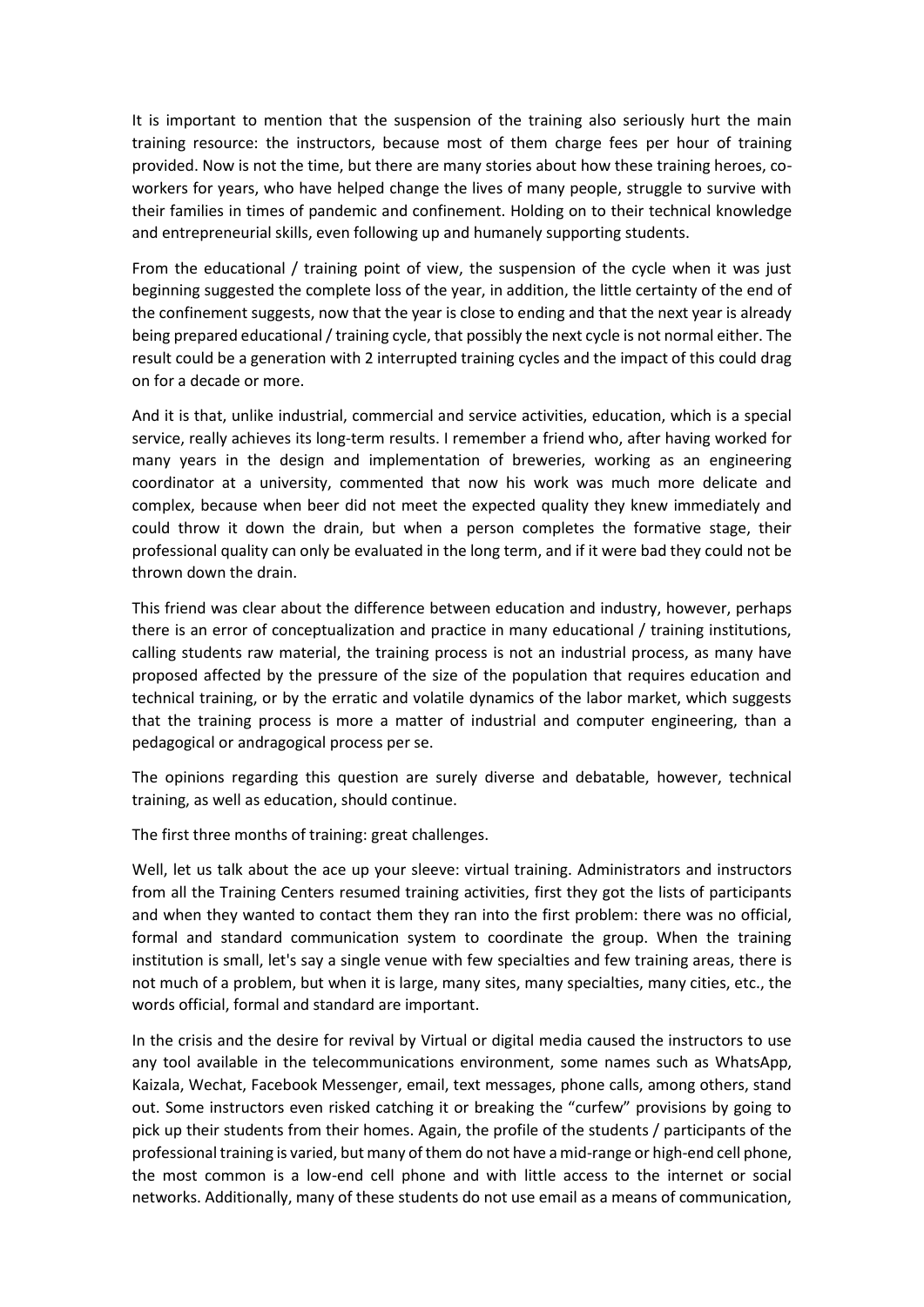It is important to mention that the suspension of the training also seriously hurt the main training resource: the instructors, because most of them charge fees per hour of training provided. Now is not the time, but there are many stories about how these training heroes, coworkers for years, who have helped change the lives of many people, struggle to survive with their families in times of pandemic and confinement. Holding on to their technical knowledge and entrepreneurial skills, even following up and humanely supporting students.

From the educational / training point of view, the suspension of the cycle when it was just beginning suggested the complete loss of the year, in addition, the little certainty of the end of the confinement suggests, now that the year is close to ending and that the next year is already being prepared educational / training cycle, that possibly the next cycle is not normal either. The result could be a generation with 2 interrupted training cycles and the impact of this could drag on for a decade or more.

And it is that, unlike industrial, commercial and service activities, education, which is a special service, really achieves its long-term results. I remember a friend who, after having worked for many years in the design and implementation of breweries, working as an engineering coordinator at a university, commented that now his work was much more delicate and complex, because when beer did not meet the expected quality they knew immediately and could throw it down the drain, but when a person completes the formative stage, their professional quality can only be evaluated in the long term, and if it were bad they could not be thrown down the drain.

This friend was clear about the difference between education and industry, however, perhaps there is an error of conceptualization and practice in many educational / training institutions, calling students raw material, the training process is not an industrial process, as many have proposed affected by the pressure of the size of the population that requires education and technical training, or by the erratic and volatile dynamics of the labor market, which suggests that the training process is more a matter of industrial and computer engineering, than a pedagogical or andragogical process per se.

The opinions regarding this question are surely diverse and debatable, however, technical training, as well as education, should continue.

The first three months of training: great challenges.

Well, let us talk about the ace up your sleeve: virtual training. Administrators and instructors from all the Training Centers resumed training activities, first they got the lists of participants and when they wanted to contact them they ran into the first problem: there was no official, formal and standard communication system to coordinate the group. When the training institution is small, let's say a single venue with few specialties and few training areas, there is not much of a problem, but when it is large, many sites, many specialties, many cities, etc., the words official, formal and standard are important.

In the crisis and the desire for revival by Virtual or digital media caused the instructors to use any tool available in the telecommunications environment, some names such as WhatsApp, Kaizala, Wechat, Facebook Messenger, email, text messages, phone calls, among others, stand out. Some instructors even risked catching it or breaking the "curfew" provisions by going to pick up their students from their homes. Again, the profile of the students / participants of the professional training is varied, but many of them do not have a mid-range or high-end cell phone, the most common is a low-end cell phone and with little access to the internet or social networks. Additionally, many of these students do not use email as a means of communication,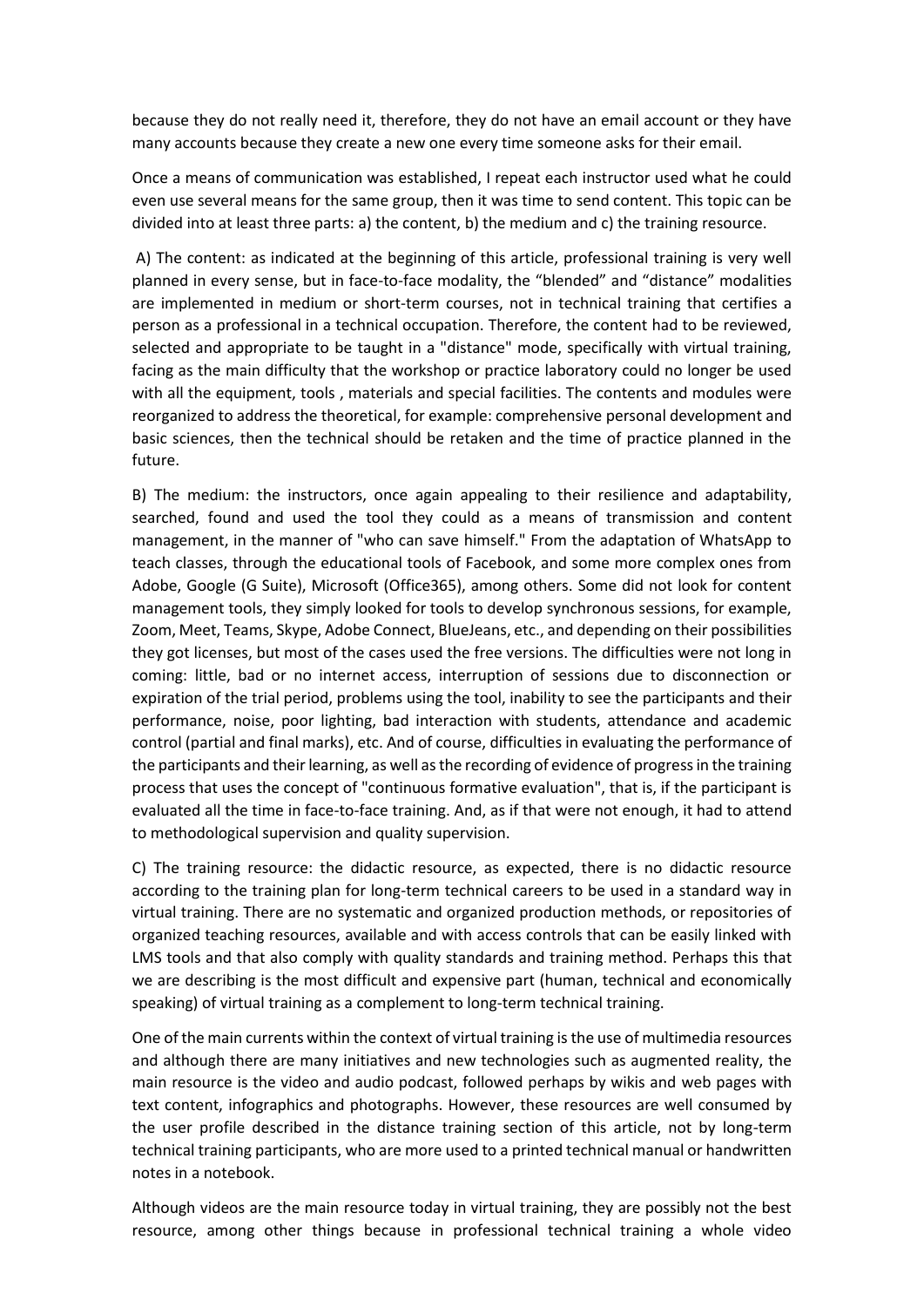because they do not really need it, therefore, they do not have an email account or they have many accounts because they create a new one every time someone asks for their email.

Once a means of communication was established, I repeat each instructor used what he could even use several means for the same group, then it was time to send content. This topic can be divided into at least three parts: a) the content, b) the medium and c) the training resource.

A) The content: as indicated at the beginning of this article, professional training is very well planned in every sense, but in face-to-face modality, the "blended" and "distance" modalities are implemented in medium or short-term courses, not in technical training that certifies a person as a professional in a technical occupation. Therefore, the content had to be reviewed, selected and appropriate to be taught in a "distance" mode, specifically with virtual training, facing as the main difficulty that the workshop or practice laboratory could no longer be used with all the equipment, tools , materials and special facilities. The contents and modules were reorganized to address the theoretical, for example: comprehensive personal development and basic sciences, then the technical should be retaken and the time of practice planned in the future.

B) The medium: the instructors, once again appealing to their resilience and adaptability, searched, found and used the tool they could as a means of transmission and content management, in the manner of "who can save himself." From the adaptation of WhatsApp to teach classes, through the educational tools of Facebook, and some more complex ones from Adobe, Google (G Suite), Microsoft (Office365), among others. Some did not look for content management tools, they simply looked for tools to develop synchronous sessions, for example, Zoom, Meet, Teams, Skype, Adobe Connect, BlueJeans, etc., and depending on their possibilities they got licenses, but most of the cases used the free versions. The difficulties were not long in coming: little, bad or no internet access, interruption of sessions due to disconnection or expiration of the trial period, problems using the tool, inability to see the participants and their performance, noise, poor lighting, bad interaction with students, attendance and academic control (partial and final marks), etc. And of course, difficulties in evaluating the performance of the participants and their learning, as well as the recording of evidence of progress in the training process that uses the concept of "continuous formative evaluation", that is, if the participant is evaluated all the time in face-to-face training. And, as if that were not enough, it had to attend to methodological supervision and quality supervision.

C) The training resource: the didactic resource, as expected, there is no didactic resource according to the training plan for long-term technical careers to be used in a standard way in virtual training. There are no systematic and organized production methods, or repositories of organized teaching resources, available and with access controls that can be easily linked with LMS tools and that also comply with quality standards and training method. Perhaps this that we are describing is the most difficult and expensive part (human, technical and economically speaking) of virtual training as a complement to long-term technical training.

One of the main currents within the context of virtual training is the use of multimedia resources and although there are many initiatives and new technologies such as augmented reality, the main resource is the video and audio podcast, followed perhaps by wikis and web pages with text content, infographics and photographs. However, these resources are well consumed by the user profile described in the distance training section of this article, not by long-term technical training participants, who are more used to a printed technical manual or handwritten notes in a notebook.

Although videos are the main resource today in virtual training, they are possibly not the best resource, among other things because in professional technical training a whole video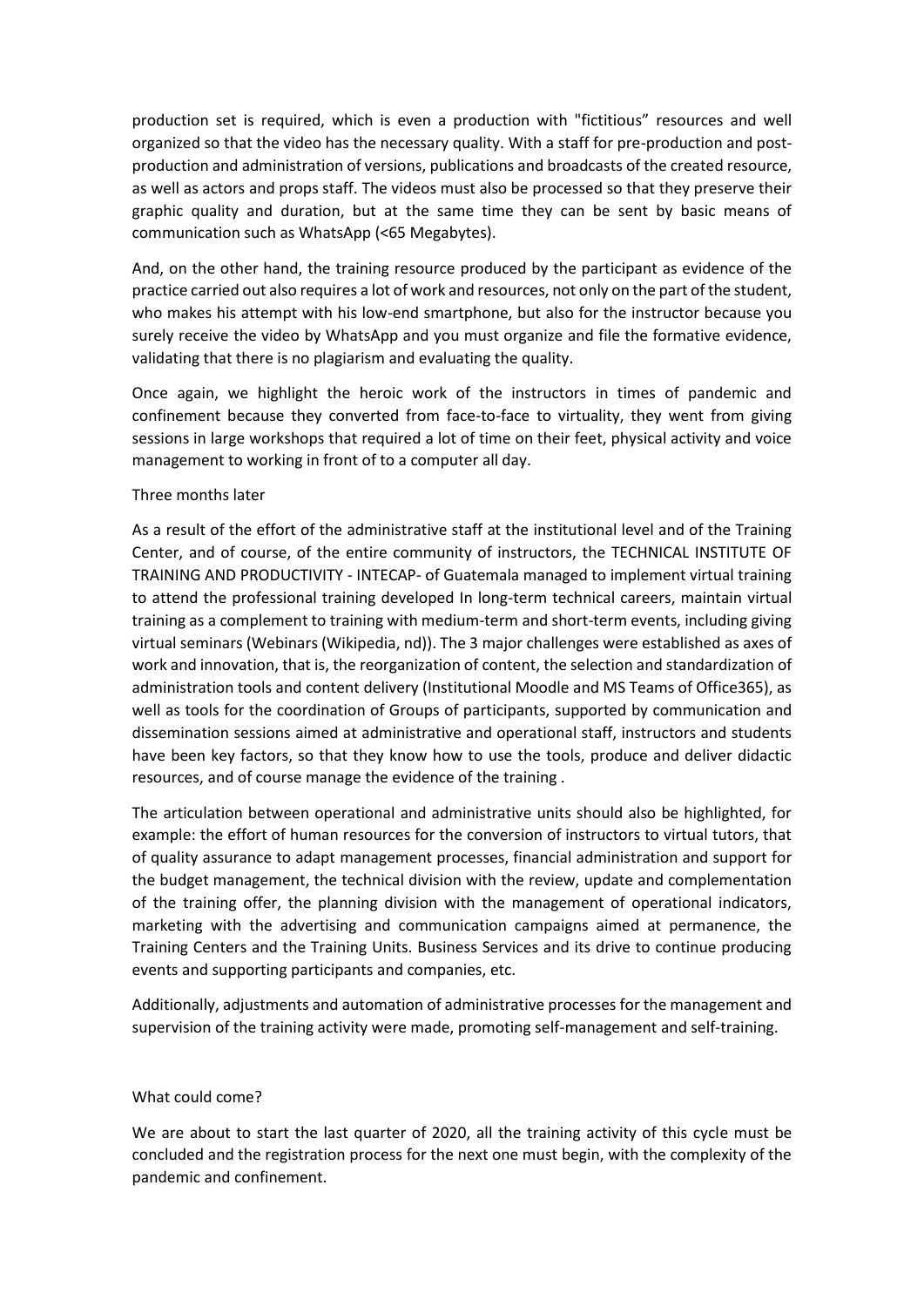production set is required, which is even a production with "fictitious" resources and well organized so that the video has the necessary quality. With a staff for pre-production and postproduction and administration of versions, publications and broadcasts of the created resource, as well as actors and props staff. The videos must also be processed so that they preserve their graphic quality and duration, but at the same time they can be sent by basic means of communication such as WhatsApp (<65 Megabytes).

And, on the other hand, the training resource produced by the participant as evidence of the practice carried out also requires a lot of work and resources, not only on the part of the student, who makes his attempt with his low-end smartphone, but also for the instructor because you surely receive the video by WhatsApp and you must organize and file the formative evidence, validating that there is no plagiarism and evaluating the quality.

Once again, we highlight the heroic work of the instructors in times of pandemic and confinement because they converted from face-to-face to virtuality, they went from giving sessions in large workshops that required a lot of time on their feet, physical activity and voice management to working in front of to a computer all day.

### Three months later

As a result of the effort of the administrative staff at the institutional level and of the Training Center, and of course, of the entire community of instructors, the TECHNICAL INSTITUTE OF TRAINING AND PRODUCTIVITY - INTECAP- of Guatemala managed to implement virtual training to attend the professional training developed In long-term technical careers, maintain virtual training as a complement to training with medium-term and short-term events, including giving virtual seminars (Webinars (Wikipedia, nd)). The 3 major challenges were established as axes of work and innovation, that is, the reorganization of content, the selection and standardization of administration tools and content delivery (Institutional Moodle and MS Teams of Office365), as well as tools for the coordination of Groups of participants, supported by communication and dissemination sessions aimed at administrative and operational staff, instructors and students have been key factors, so that they know how to use the tools, produce and deliver didactic resources, and of course manage the evidence of the training .

The articulation between operational and administrative units should also be highlighted, for example: the effort of human resources for the conversion of instructors to virtual tutors, that of quality assurance to adapt management processes, financial administration and support for the budget management, the technical division with the review, update and complementation of the training offer, the planning division with the management of operational indicators, marketing with the advertising and communication campaigns aimed at permanence, the Training Centers and the Training Units. Business Services and its drive to continue producing events and supporting participants and companies, etc.

Additionally, adjustments and automation of administrative processes for the management and supervision of the training activity were made, promoting self-management and self-training.

### What could come?

We are about to start the last quarter of 2020, all the training activity of this cycle must be concluded and the registration process for the next one must begin, with the complexity of the pandemic and confinement.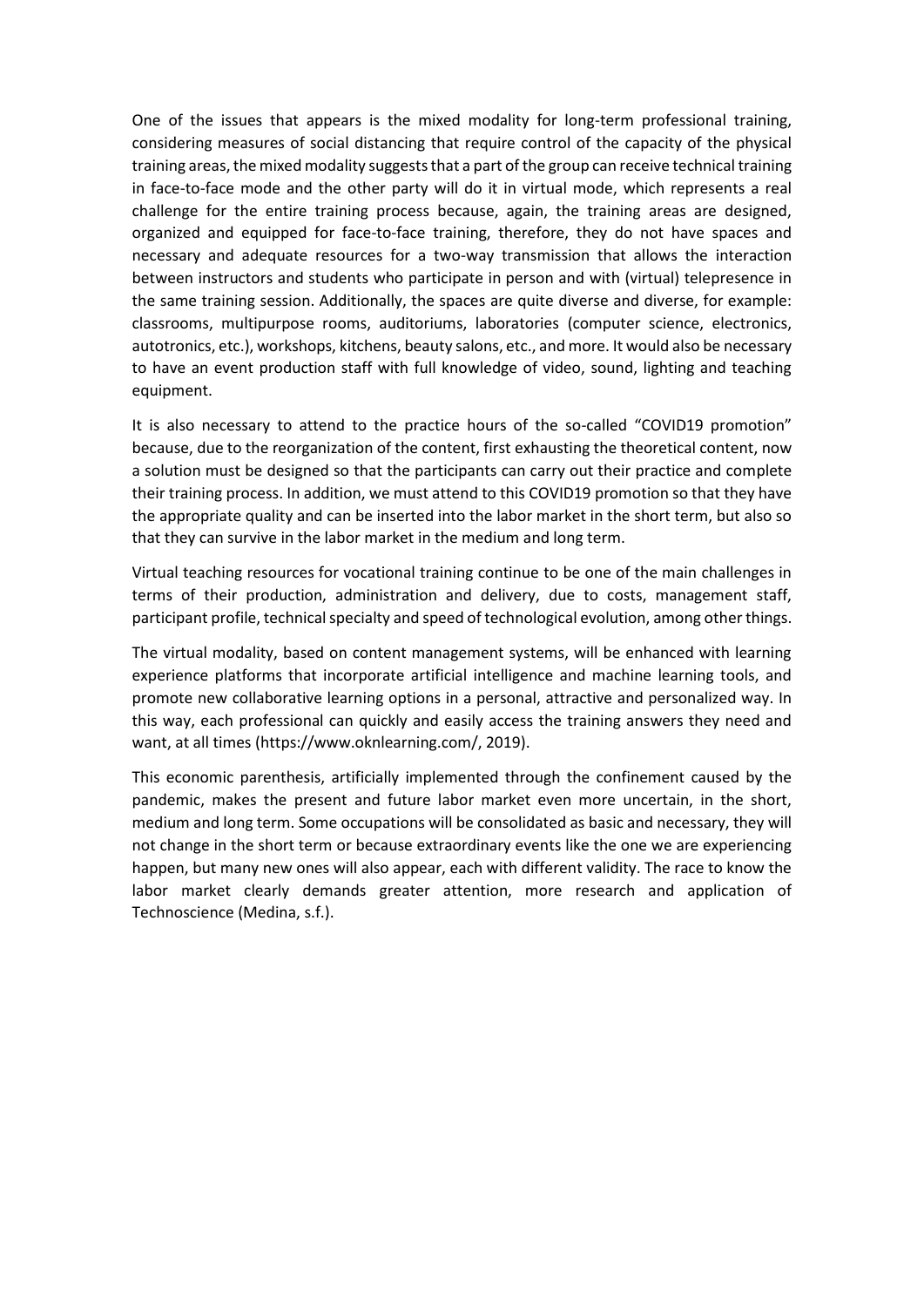One of the issues that appears is the mixed modality for long-term professional training, considering measures of social distancing that require control of the capacity of the physical training areas, the mixed modality suggests that a part of the group can receive technical training in face-to-face mode and the other party will do it in virtual mode, which represents a real challenge for the entire training process because, again, the training areas are designed, organized and equipped for face-to-face training, therefore, they do not have spaces and necessary and adequate resources for a two-way transmission that allows the interaction between instructors and students who participate in person and with (virtual) telepresence in the same training session. Additionally, the spaces are quite diverse and diverse, for example: classrooms, multipurpose rooms, auditoriums, laboratories (computer science, electronics, autotronics, etc.), workshops, kitchens, beauty salons, etc., and more. It would also be necessary to have an event production staff with full knowledge of video, sound, lighting and teaching equipment.

It is also necessary to attend to the practice hours of the so-called "COVID19 promotion" because, due to the reorganization of the content, first exhausting the theoretical content, now a solution must be designed so that the participants can carry out their practice and complete their training process. In addition, we must attend to this COVID19 promotion so that they have the appropriate quality and can be inserted into the labor market in the short term, but also so that they can survive in the labor market in the medium and long term.

Virtual teaching resources for vocational training continue to be one of the main challenges in terms of their production, administration and delivery, due to costs, management staff, participant profile, technical specialty and speed of technological evolution, among other things.

The virtual modality, based on content management systems, will be enhanced with learning experience platforms that incorporate artificial intelligence and machine learning tools, and promote new collaborative learning options in a personal, attractive and personalized way. In this way, each professional can quickly and easily access the training answers they need and want, at all times (https://www.oknlearning.com/, 2019).

This economic parenthesis, artificially implemented through the confinement caused by the pandemic, makes the present and future labor market even more uncertain, in the short, medium and long term. Some occupations will be consolidated as basic and necessary, they will not change in the short term or because extraordinary events like the one we are experiencing happen, but many new ones will also appear, each with different validity. The race to know the labor market clearly demands greater attention, more research and application of Technoscience (Medina, s.f.).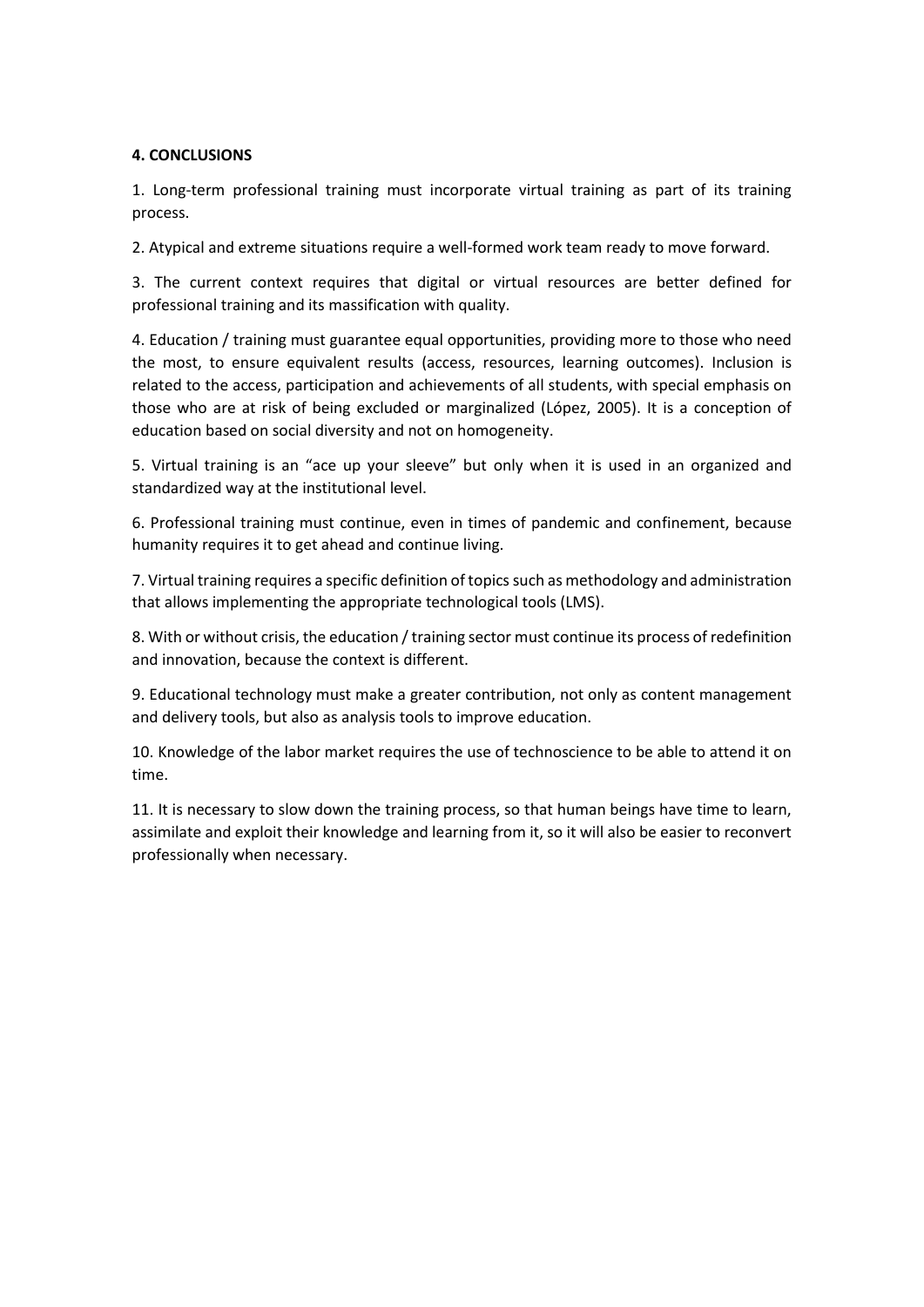# **4. CONCLUSIONS**

1. Long-term professional training must incorporate virtual training as part of its training process.

2. Atypical and extreme situations require a well-formed work team ready to move forward.

3. The current context requires that digital or virtual resources are better defined for professional training and its massification with quality.

4. Education / training must guarantee equal opportunities, providing more to those who need the most, to ensure equivalent results (access, resources, learning outcomes). Inclusion is related to the access, participation and achievements of all students, with special emphasis on those who are at risk of being excluded or marginalized (López, 2005). It is a conception of education based on social diversity and not on homogeneity.

5. Virtual training is an "ace up your sleeve" but only when it is used in an organized and standardized way at the institutional level.

6. Professional training must continue, even in times of pandemic and confinement, because humanity requires it to get ahead and continue living.

7. Virtual training requires a specific definition of topics such as methodology and administration that allows implementing the appropriate technological tools (LMS).

8. With or without crisis, the education / training sector must continue its process of redefinition and innovation, because the context is different.

9. Educational technology must make a greater contribution, not only as content management and delivery tools, but also as analysis tools to improve education.

10. Knowledge of the labor market requires the use of technoscience to be able to attend it on time.

11. It is necessary to slow down the training process, so that human beings have time to learn, assimilate and exploit their knowledge and learning from it, so it will also be easier to reconvert professionally when necessary.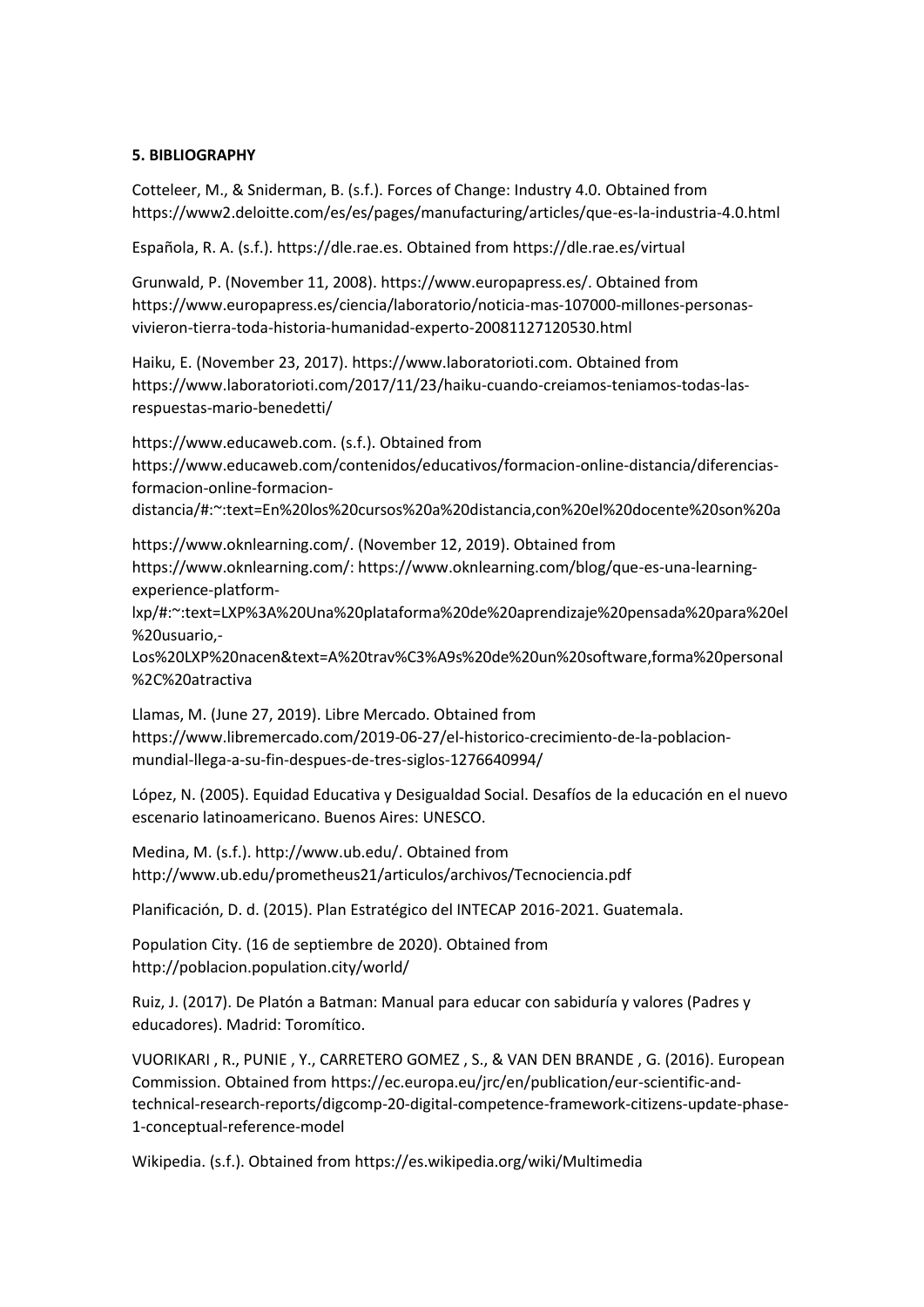# **5. BIBLIOGRAPHY**

Cotteleer, M., & Sniderman, B. (s.f.). Forces of Change: Industry 4.0. Obtained from https://www2.deloitte.com/es/es/pages/manufacturing/articles/que-es-la-industria-4.0.html

Española, R. A. (s.f.). https://dle.rae.es. Obtained from https://dle.rae.es/virtual

Grunwald, P. (November 11, 2008). https://www.europapress.es/. Obtained from https://www.europapress.es/ciencia/laboratorio/noticia-mas-107000-millones-personasvivieron-tierra-toda-historia-humanidad-experto-20081127120530.html

Haiku, E. (November 23, 2017). https://www.laboratorioti.com. Obtained from https://www.laboratorioti.com/2017/11/23/haiku-cuando-creiamos-teniamos-todas-lasrespuestas-mario-benedetti/

https://www.educaweb.com. (s.f.). Obtained from https://www.educaweb.com/contenidos/educativos/formacion-online-distancia/diferenciasformacion-online-formaciondistancia/#:~:text=En%20los%20cursos%20a%20distancia,con%20el%20docente%20son%20a

https://www.oknlearning.com/. (November 12, 2019). Obtained from https://www.oknlearning.com/: https://www.oknlearning.com/blog/que-es-una-learningexperience-platform-

lxp/#:~:text=LXP%3A%20Una%20plataforma%20de%20aprendizaje%20pensada%20para%20el %20usuario,-

Los%20LXP%20nacen&text=A%20trav%C3%A9s%20de%20un%20software,forma%20personal %2C%20atractiva

Llamas, M. (June 27, 2019). Libre Mercado. Obtained from https://www.libremercado.com/2019-06-27/el-historico-crecimiento-de-la-poblacionmundial-llega-a-su-fin-despues-de-tres-siglos-1276640994/

López, N. (2005). Equidad Educativa y Desigualdad Social. Desafíos de la educación en el nuevo escenario latinoamericano. Buenos Aires: UNESCO.

Medina, M. (s.f.). http://www.ub.edu/. Obtained from http://www.ub.edu/prometheus21/articulos/archivos/Tecnociencia.pdf

Planificación, D. d. (2015). Plan Estratégico del INTECAP 2016-2021. Guatemala.

Population City. (16 de septiembre de 2020). Obtained from http://poblacion.population.city/world/

Ruiz, J. (2017). De Platón a Batman: Manual para educar con sabiduría y valores (Padres y educadores). Madrid: Toromítico.

VUORIKARI , R., PUNIE , Y., CARRETERO GOMEZ , S., & VAN DEN BRANDE , G. (2016). European Commission. Obtained from https://ec.europa.eu/jrc/en/publication/eur-scientific-andtechnical-research-reports/digcomp-20-digital-competence-framework-citizens-update-phase-1-conceptual-reference-model

Wikipedia. (s.f.). Obtained from https://es.wikipedia.org/wiki/Multimedia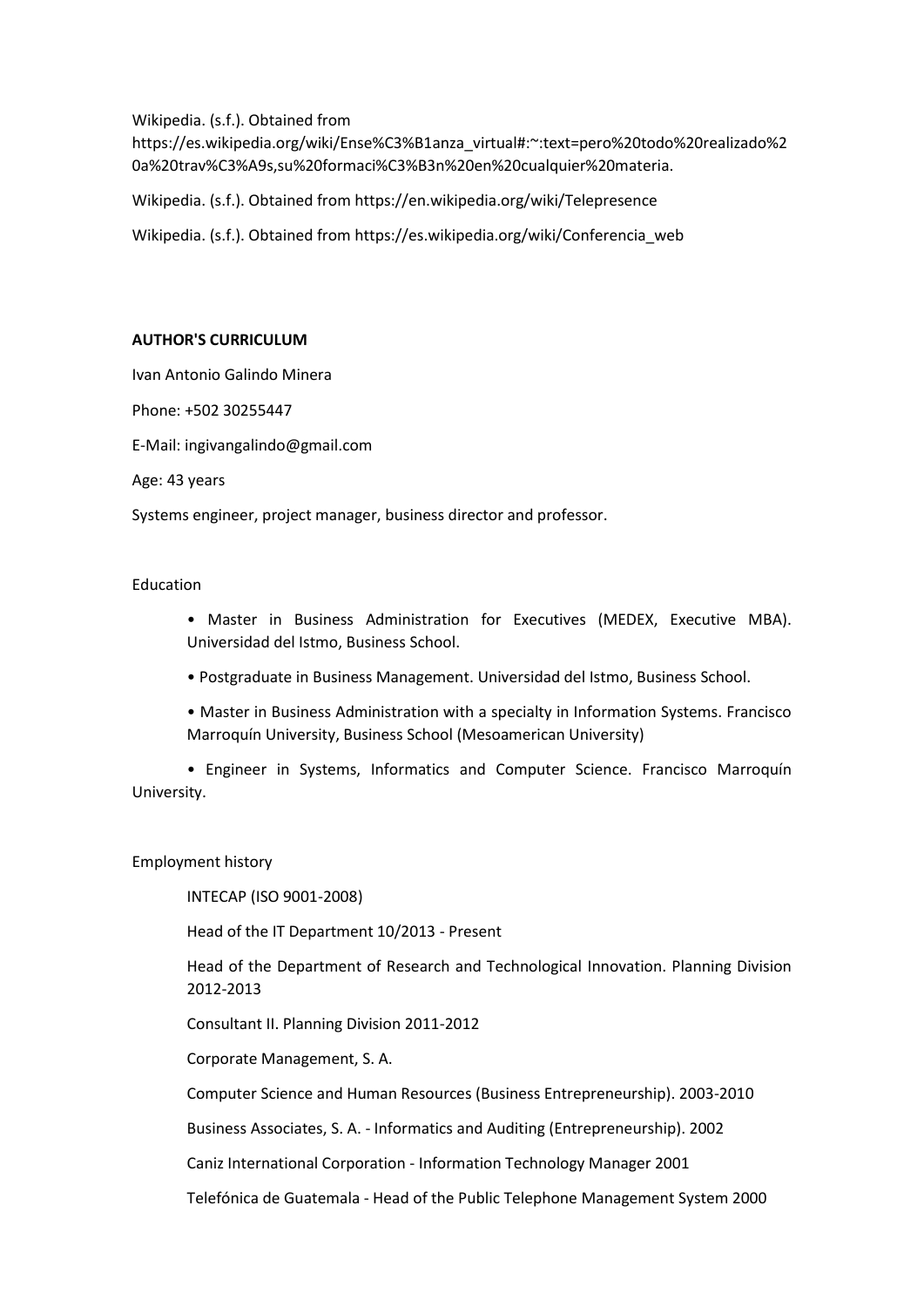Wikipedia. (s.f.). Obtained from

https://es.wikipedia.org/wiki/Ense%C3%B1anza\_virtual#:~:text=pero%20todo%20realizado%2 0a%20trav%C3%A9s,su%20formaci%C3%B3n%20en%20cualquier%20materia.

Wikipedia. (s.f.). Obtained from https://en.wikipedia.org/wiki/Telepresence

Wikipedia. (s.f.). Obtained from https://es.wikipedia.org/wiki/Conferencia\_web

#### **AUTHOR'S CURRICULUM**

Ivan Antonio Galindo Minera

Phone: +502 30255447

E-Mail: ingivangalindo@gmail.com

Age: 43 years

Systems engineer, project manager, business director and professor.

### Education

- Master in Business Administration for Executives (MEDEX, Executive MBA). Universidad del Istmo, Business School.
- Postgraduate in Business Management. Universidad del Istmo, Business School.
- Master in Business Administration with a specialty in Information Systems. Francisco Marroquín University, Business School (Mesoamerican University)

• Engineer in Systems, Informatics and Computer Science. Francisco Marroquín University.

### Employment history

INTECAP (ISO 9001-2008)

Head of the IT Department 10/2013 - Present

Head of the Department of Research and Technological Innovation. Planning Division 2012-2013

Consultant II. Planning Division 2011-2012

Corporate Management, S. A.

Computer Science and Human Resources (Business Entrepreneurship). 2003-2010

Business Associates, S. A. - Informatics and Auditing (Entrepreneurship). 2002

Caniz International Corporation - Information Technology Manager 2001

Telefónica de Guatemala - Head of the Public Telephone Management System 2000